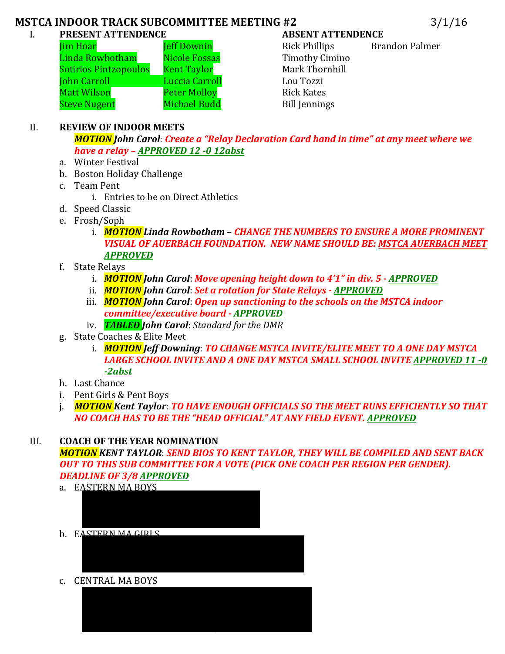## **MSTCA INDOOR TRACK SUBCOMMITTEE MEETING #2** 3/1/16

### I. **PRESENT ATTENDENCE ABSENT ATTENDENCE**

| im Hoar                      | <b>Jeff Downin</b>   |
|------------------------------|----------------------|
| inda Rowbotham.              | <b>Nicole Fossas</b> |
| <u>Sotirios Pintzopoulos</u> | <b>Kent Taylor</b>   |
| ohn Carroll                  | Luccia Carroll       |
| Aatt Wilson                  | <b>Peter Molloy</b>  |
| <b>Steve Nugent</b>          | <b>Michael Budd</b>  |

Rick Phillips Brandon Palmer Timothy Cimino Mark Thornhill Lou Tozzi **Rick Kates** Bill Jennings

### II. **REVIEW OF INDOOR MEETS**

*MOTION* John Carol: Create a "Relay Declaration Card hand in time" at any meet where we *have a relay – APPROVED 12 -0 12abst*

- a. Winter Festival
- b. Boston Holiday Challenge
- c. Team Pent
	- i. Entries to be on Direct Athletics
- d. Speed Classic
- e. Frosh/Soph
	- i. *MOTION Linda Rowbotham CHANGE THE NUMBERS TO ENSURE A MORE PROMINENT VISUAL OF AUERBACH FOUNDATION. NEW NAME SHOULD BE: MSTCA AUERBACH MEET APPROVED*
- f. State Relays
	- i. *MOTION* John Carol: Move opening height down to 4'1" in div. 5 APPROVED
	- ii. *MOTION* John Carol: Set a rotation for State Relays **APPROVED**
	- iii. *MOTION John Carol: Open up sanctioning to the schools on the MSTCA indoor committee/executive board - APPROVED*
	- iv. **TABLED** John Carol: Standard for the DMR
- g. State Coaches & Elite Meet
	- i. *MOTION Jeff Downing: TO CHANGE MSTCA INVITE/ELITE MEET TO A ONE DAY MSTCA* LARGE SCHOOL INVITE AND A ONE DAY MSTCA SMALL SCHOOL INVITE APPROVED 11 -0 *-2abst*
- h. Last Chance
- i. Pent Girls & Pent Boys
- i. *MOTION Kent Taylor: TO HAVE ENOUGH OFFICIALS SO THE MEET RUNS EFFICIENTLY SO THAT NO COACH HAS TO BE THE "HEAD OFFICIAL" AT ANY FIELD EVENT. APPROVED*

# III. **COACH OF THE YEAR NOMINATION**

*MOTION KENT TAYLOR*: *SEND BIOS TO KENT TAYLOR, THEY WILL BE COMPILED AND SENT BACK OUT TO THIS SUB COMMITTEE FOR A VOTE (PICK ONE COACH PER REGION PER GENDER). DEADLINE OF 3/8 APPROVED*

- a. EASTERN MA BOYS
- b. EASTERN MACIRIS

ii. Tomas ka mid ah ka mid ah ka mid ah ka mid ah ka mid ah ka mid ah ka mid ah ka mid ah ka mid ah ka mid ah<br>Tomas ka mid ah ka mid ah ka mid ah ka mid ah ka mid ah ka mid ah ka mid ah ka mid ah ka mid ah ka mid ah ka m

c. CENTRAL MA BOYS

iv. RICK PHILLIPS - TANTASQUAT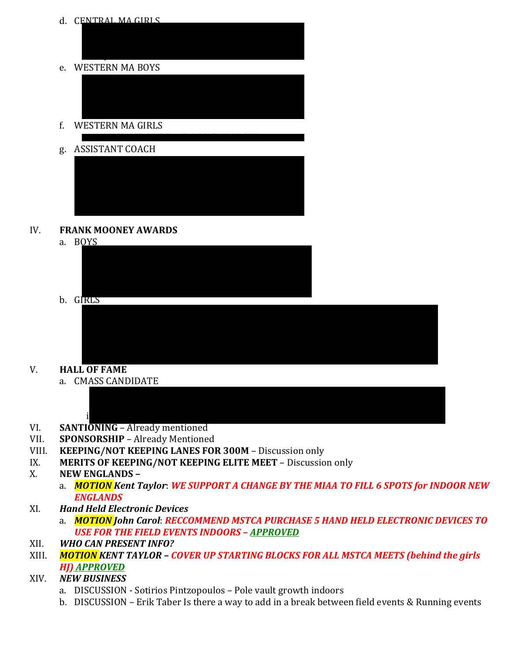d. CENTRAL MA GIRLS ii. Jeffer of the state of the state of the state of the state of the state of the state of the state of the s<br>The state of the state of the state of the state of the state of the state of the state of the state of the st e. WESTERN MA BOYS f. WESTERN MA GIRLS i. MICHAEL BUDDOCK I DE LA CHAEL BUDDOCK g. ASSISTANT COACH i. PAT MCGEE – BURLINGTON

#### IV. **FRANK MOONEY AWARDS**

a. BOYS



b. GIRLS



- V. **HALL OF FAME** 
	- a. CMASS CANDIDATE



- VI. **SANTIONING** Already mentioned
- VII. **SPONSORSHIP** Already Mentioned
- VIII. **KEEPING/NOT KEEPING LANES FOR 300M** Discussion only
- IX. **MERITS OF KEEPING/NOT KEEPING ELITE MEET** Discussion only
- X. **NEW ENGLANDS** 
	- a. *MOTION Kent Taylor: WE SUPPORT A CHANGE BY THE MIAA TO FILL 6 SPOTS for INDOOR NEW ENGLANDS*
- XI. *Hand Held Electronic Devices*
	- a. *MOTION John Carol: RECCOMMEND MSTCA PURCHASE 5 HAND HELD ELECTRONIC DEVICES TO* USE FOR THE FIELD EVENTS INDOORS – APPROVED
- XII. *WHO CAN PRESENT INFO?*
- XIII. *MOTION KENT TAYLOR COVER UP STARTING BLOCKS FOR ALL MSTCA MEETS (behind the girls HJ) APPROVED*
- XIV. *NEW BUSINESS*
	- a. DISCUSSION Sotirios Pintzopoulos Pole vault growth indoors
	- b. DISCUSSION Erik Taber Is there a way to add in a break between field events & Running events